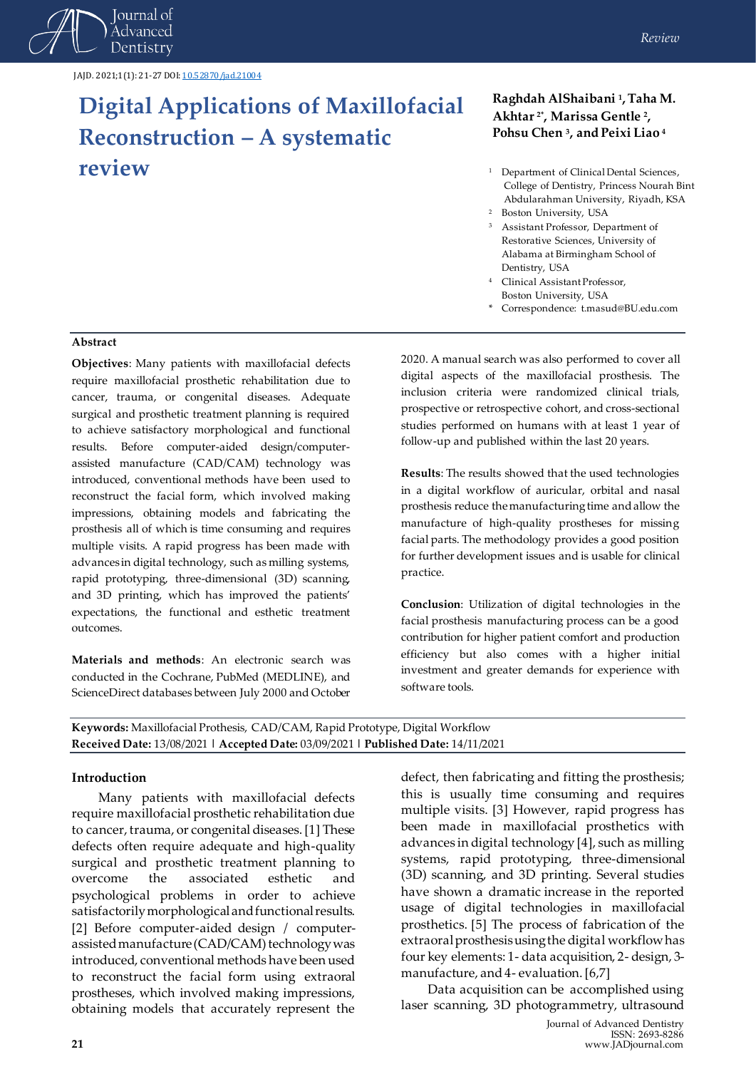

# **Digital Applications of Maxillofacial Reconstruction – A systematic review**

#### *Review*

#### **Raghdah AlShaibani <sup>1</sup> , Taha M. Akhtar 2\* , Marissa Gentle <sup>2</sup> , Pohsu Chen <sup>3</sup> , and Peixi Liao <sup>4</sup>**

- <sup>1</sup> Department of Clinical Dental Sciences, College of Dentistry, Princess Nourah Bint Abdularahman University, Riyadh, KSA
- <sup>2</sup> Boston University, USA
- <sup>3</sup> Assistant Professor, Department of Restorative Sciences, University of Alabama at Birmingham School of Dentistry, USA
- <sup>4</sup> Clinical Assistant Professor, Boston University, USA
- \* Correspondence: t.masud@BU.edu.com

#### **Abstract**

**Objectives**: Many patients with maxillofacial defects require maxillofacial prosthetic rehabilitation due to cancer, trauma, or congenital diseases. Adequate surgical and prosthetic treatment planning is required to achieve satisfactory morphological and functional results. Before computer-aided design/computerassisted manufacture (CAD/CAM) technology was introduced, conventional methods have been used to reconstruct the facial form, which involved making impressions, obtaining models and fabricating the prosthesis all of which is time consuming and requires multiple visits. A rapid progress has been made with advances in digital technology, such as milling systems, rapid prototyping, three-dimensional (3D) scanning, and 3D printing, which has improved the patients' expectations, the functional and esthetic treatment outcomes.

**Materials and methods**: An electronic search was conducted in the Cochrane, PubMed (MEDLINE), and ScienceDirect databases between July 2000 and October

2020. A manual search was also performed to cover all digital aspects of the maxillofacial prosthesis. The inclusion criteria were randomized clinical trials, prospective or retrospective cohort, and cross-sectional studies performed on humans with at least 1 year of follow-up and published within the last 20 years.

**Results**: The results showed that the used technologies in a digital workflow of auricular, orbital and nasal prosthesis reduce the manufacturing time and allow the manufacture of high-quality prostheses for missing facial parts. The methodology provides a good position for further development issues and is usable for clinical practice.

**Conclusion**: Utilization of digital technologies in the facial prosthesis manufacturing process can be a good contribution for higher patient comfort and production efficiency but also comes with a higher initial investment and greater demands for experience with software tools.

**Keywords:** Maxillofacial Prothesis, CAD/CAM, Rapid Prototype, Digital Workflow **Received Date:** 13/08/2021 **| Accepted Date:** 03/09/2021 **| Published Date:** 14/11/2021

#### **Introduction**

Many patients with maxillofacial defects require maxillofacial prosthetic rehabilitation due to cancer, trauma, or congenital diseases. [1] These defects often require adequate and high-quality surgical and prosthetic treatment planning to overcome the associated esthetic and psychological problems in order to achieve satisfactorily morphological and functional results. [2] Before computer-aided design / computerassisted manufacture (CAD/CAM) technology was introduced, conventional methods have been used to reconstruct the facial form using extraoral prostheses, which involved making impressions, obtaining models that accurately represent the

defect, then fabricating and fitting the prosthesis; this is usually time consuming and requires multiple visits. [3] However, rapid progress has been made in maxillofacial prosthetics with advances in digital technology [4], such as milling systems, rapid prototyping, three-dimensional (3D) scanning, and 3D printing. Several studies have shown a dramatic increase in the reported usage of digital technologies in maxillofacial prosthetics. [5] The process of fabrication of the extraoral prosthesis using the digital workflow has four key elements: 1- data acquisition, 2- design, 3 manufacture, and 4- evaluation. [6,7]

Data acquisition can be accomplished using laser scanning, 3D photogrammetry, ultrasound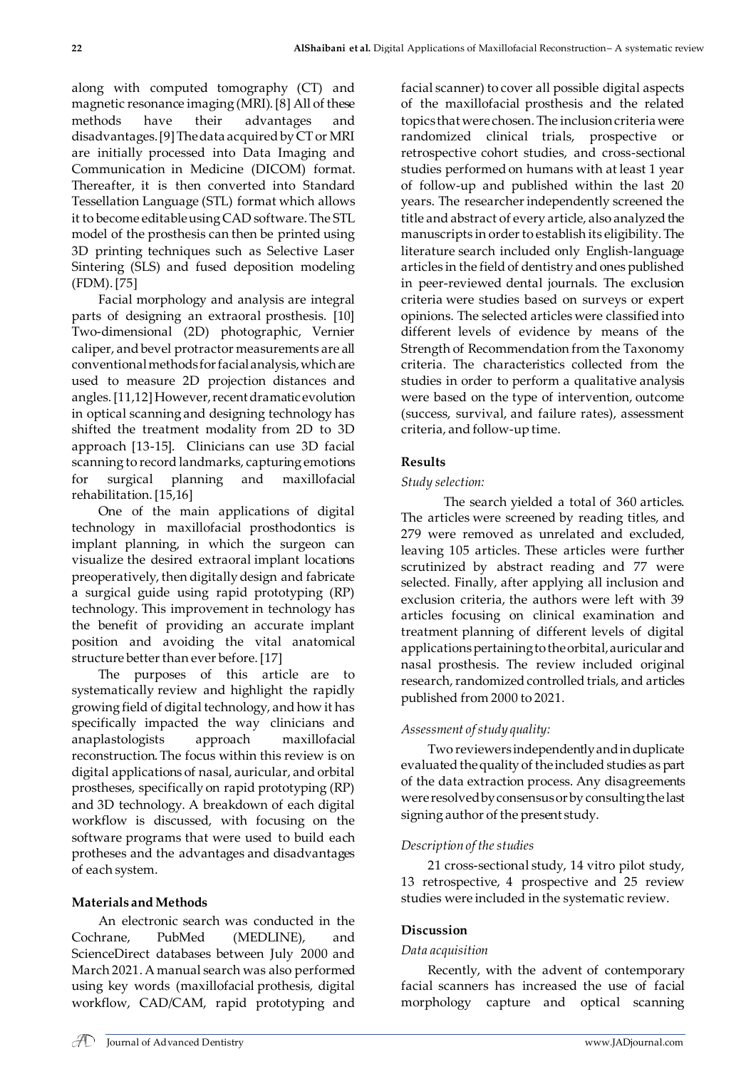along with computed tomography (CT) and magnetic resonance imaging (MRI). [8] All of these methods have their advantages and disadvantages. [9] The data acquired by CT or MRI are initially processed into Data Imaging and Communication in Medicine (DICOM) format. Thereafter, it is then converted into Standard Tessellation Language (STL) format which allows it to become editable using CAD software. The STL model of the prosthesis can then be printed using 3D printing techniques such as Selective Laser Sintering (SLS) and fused deposition modeling (FDM). [75]

Facial morphology and analysis are integral parts of designing an extraoral prosthesis. [10] Two-dimensional (2D) photographic, Vernier caliper, and bevel protractor measurements are all conventional methods for facial analysis, which are used to measure 2D projection distances and angles. [11,12] However, recent dramatic evolution in optical scanning and designing technology has shifted the treatment modality from 2D to 3D approach [13-15]. Clinicians can use 3D facial scanning to record landmarks, capturing emotions for surgical planning and maxillofacial rehabilitation. [15,16]

One of the main applications of digital technology in maxillofacial prosthodontics is implant planning, in which the surgeon can visualize the desired extraoral implant locations preoperatively, then digitally design and fabricate a surgical guide using rapid prototyping (RP) technology. This improvement in technology has the benefit of providing an accurate implant position and avoiding the vital anatomical structure better than ever before. [17]

The purposes of this article are to systematically review and highlight the rapidly growing field of digital technology, and how it has specifically impacted the way clinicians and anaplastologists approach maxillofacial reconstruction. The focus within this review is on digital applications of nasal, auricular, and orbital prostheses, specifically on rapid prototyping (RP) and 3D technology. A breakdown of each digital workflow is discussed, with focusing on the software programs that were used to build each protheses and the advantages and disadvantages of each system.

# **Materials and Methods**

An electronic search was conducted in the Cochrane, PubMed (MEDLINE), and ScienceDirect databases between July 2000 and March 2021. A manual search was also performed using key words (maxillofacial prothesis, digital workflow, CAD/CAM, rapid prototyping and facial scanner) to cover all possible digital aspects of the maxillofacial prosthesis and the related topics that were chosen. The inclusion criteria were randomized clinical trials, prospective or retrospective cohort studies, and cross-sectional studies performed on humans with at least 1 year of follow-up and published within the last 20 years. The researcher independently screened the title and abstract of every article, also analyzed the manuscripts in order to establish its eligibility. The literature search included only English‐language articles in the field of dentistry and ones published in peer‐reviewed dental journals. The exclusion criteria were studies based on surveys or expert opinions. The selected articles were classified into different levels of evidence by means of the Strength of Recommendation from the Taxonomy criteria. The characteristics collected from the studies in order to perform a qualitative analysis were based on the type of intervention, outcome (success, survival, and failure rates), assessment criteria, and follow-up time.

#### **Results**

#### *Study selection:*

 The search yielded a total of 360 articles. The articles were screened by reading titles, and 279 were removed as unrelated and excluded, leaving 105 articles. These articles were further scrutinized by abstract reading and 77 were selected. Finally, after applying all inclusion and exclusion criteria, the authors were left with 39 articles focusing on clinical examination and treatment planning of different levels of digital applications pertaining tothe orbital, auricular and nasal prosthesis. The review included original research, randomized controlled trials, and articles published from 2000 to 2021.

## *Assessment of study quality:*

Two reviewers independently and in duplicate evaluated the quality of the included studies as part of the data extraction process. Any disagreements were resolved by consensus or by consulting the last signing author of the present study.

#### *Description of the studies*

21 cross-sectional study, 14 vitro pilot study, 13 retrospective, 4 prospective and 25 review studies were included in the systematic review.

## **Discussion**

#### *Data acquisition*

Recently, with the advent of contemporary facial scanners has increased the use of facial morphology capture and optical scanning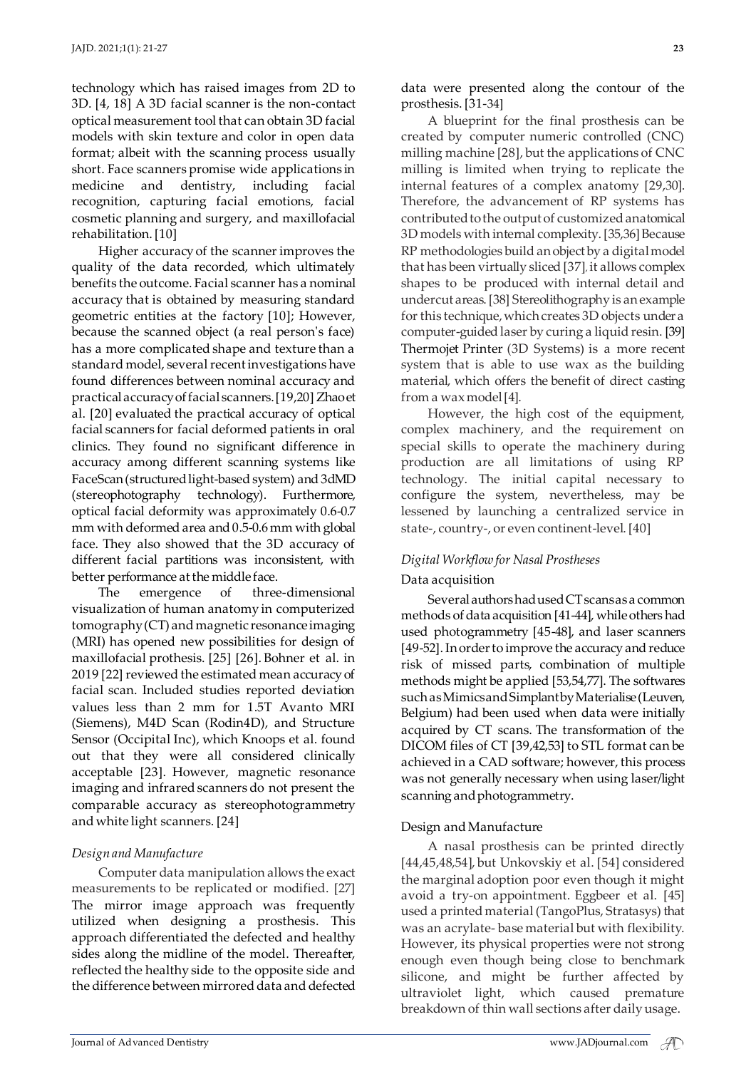technology which has raised images from 2D to 3D. [4, 18] A 3D facial scanner is the non-contact optical measurement tool that can obtain 3D facial models with skin texture and color in open data format; albeit with the scanning process usually short. Face scanners promise wide applications in medicine and dentistry, including facial recognition, capturing facial emotions, facial cosmetic planning and surgery, and maxillofacial rehabilitation. [10]

Higher accuracy of the scanner improves the quality of the data recorded, which ultimately benefits the outcome. Facial scanner has a nominal accuracy that is obtained by measuring standard geometric entities at the factory [10]; However, because the scanned object (a real person's face) has a more complicated shape and texture than a standard model, several recent investigations have found differences between nominal accuracy and practical accuracy of facial scanners. [19,20] Zhao et al. [20] evaluated the practical accuracy of optical facial scanners for facial deformed patients in oral clinics. They found no significant difference in accuracy among different scanning systems like FaceScan (structured light-based system) and 3dMD (stereophotography technology). Furthermore, optical facial deformity was approximately 0.6-0.7 mm with deformed area and 0.5-0.6 mm with global face. They also showed that the 3D accuracy of different facial partitions was inconsistent, with better performance at the middle face.

The emergence of three-dimensional visualization of human anatomy in computerized tomography (CT) and magnetic resonance imaging (MRI) has opened new possibilities for design of maxillofacial prothesis. [25] [26]. Bohner et al. in 2019 [22] reviewed the estimated mean accuracy of facial scan. Included studies reported deviation values less than 2 mm for 1.5T Avanto MRI (Siemens), M4D Scan (Rodin4D), and Structure Sensor (Occipital Inc), which Knoops et al. found out that they were all considered clinically acceptable [23]. However, magnetic resonance imaging and infrared scanners do not present the comparable accuracy as stereophotogrammetry and white light scanners. [24]

#### *Design and Manufacture*

Computer data manipulation allows the exact measurements to be replicated or modified. [27] The mirror image approach was frequently utilized when designing a prosthesis. This approach differentiated the defected and healthy sides along the midline of the model. Thereafter, reflected the healthy side to the opposite side and the difference between mirrored data and defected data were presented along the contour of the prosthesis. [31-34]

A blueprint for the final prosthesis can be created by computer numeric controlled (CNC) milling machine [28], but the applications of CNC milling is limited when trying to replicate the internal features of a complex anatomy [29,30]. Therefore, the advancement of RP systems has contributed to the output of customized anatomical 3D models with internal complexity. [35,36] Because RP methodologies build an object by a digital model that has been virtually sliced [37], it allows complex shapes to be produced with internal detail and undercut areas. [38] Stereolithography is an example for this technique, which creates 3D objects under a computer-guided laser by curing a liquid resin. [39] Thermojet Printer (3D Systems) is a more recent system that is able to use wax as the building material, which offers the benefit of direct casting from a wax model [4].

However, the high cost of the equipment, complex machinery, and the requirement on special skills to operate the machinery during production are all limitations of using RP technology. The initial capital necessary to configure the system, nevertheless, may be lessened by launching a centralized service in state-, country-, or even continent-level. [40]

# *Digital Workflow for Nasal Prostheses*

#### Data acquisition

Several authors had used CT scans as a common methods of data acquisition [41-44], while others had used photogrammetry [45-48], and laser scanners [49-52]. In order to improve the accuracy and reduce risk of missed parts, combination of multiple methods might be applied [53,54,77]. The softwares such as Mimics and Simplant by Materialise (Leuven, Belgium) had been used when data were initially acquired by CT scans. The transformation of the DICOM files of CT [39,42,53] to STL format can be achieved in a CAD software; however, this process was not generally necessary when using laser/light scanning and photogrammetry.

#### Design and Manufacture

A nasal prosthesis can be printed directly [44,45,48,54], but Unkovskiy et al. [54] considered the marginal adoption poor even though it might avoid a try-on appointment. Eggbeer et al. [45] used a printed material (TangoPlus, Stratasys) that was an acrylate- base material but with flexibility. However, its physical properties were not strong enough even though being close to benchmark silicone, and might be further affected by ultraviolet light, which caused premature breakdown of thin wall sections after daily usage.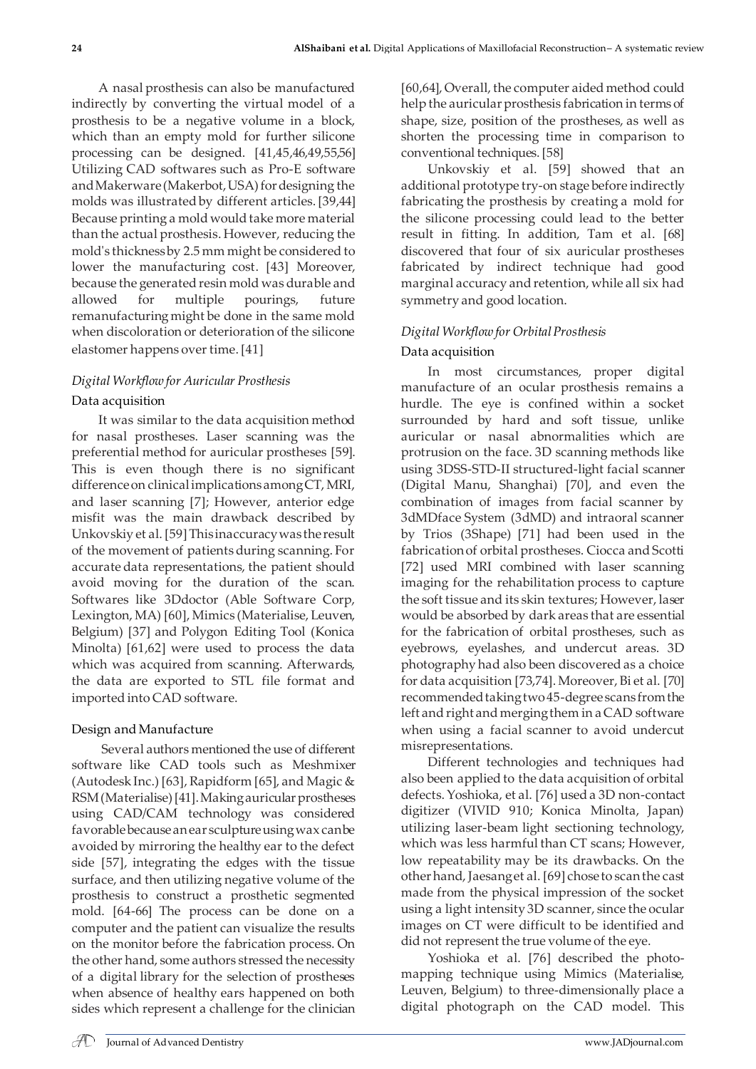A nasal prosthesis can also be manufactured indirectly by converting the virtual model of a prosthesis to be a negative volume in a block, which than an empty mold for further silicone processing can be designed. [41,45,46,49,55,56] Utilizing CAD softwares such as Pro-E software and Makerware (Makerbot, USA) for designing the molds was illustrated by different articles.[39,44] Because printing a mold would take more material than the actual prosthesis. However, reducing the mold's thickness by 2.5 mm might be considered to lower the manufacturing cost. [43] Moreover, because the generated resin mold was durable and allowed for multiple pourings, future remanufacturing might be done in the same mold when discoloration or deterioration of the silicone elastomer happens over time.[41]

# *Digital Workflow for Auricular Prosthesis* Data acquisition

It was similar to the data acquisition method for nasal prostheses. Laser scanning was the preferential method for auricular prostheses [59]. This is even though there is no significant difference on clinical implications among CT, MRI, and laser scanning [7]; However, anterior edge misfit was the main drawback described by Unkovskiy et al. [59] This inaccuracy was the result of the movement of patients during scanning. For accurate data representations, the patient should avoid moving for the duration of the scan. Softwares like 3Ddoctor (Able Software Corp, Lexington, MA) [60], Mimics (Materialise, Leuven, Belgium) [37] and Polygon Editing Tool (Konica Minolta) [61,62] were used to process the data which was acquired from scanning. Afterwards, the data are exported to STL file format and imported into CAD software.

## Design and Manufacture

Several authors mentioned the use of different software like CAD tools such as Meshmixer (Autodesk Inc.) [63], Rapidform [65], and Magic & RSM (Materialise) [41]. Making auricular prostheses using CAD/CAM technology was considered favorable because an ear sculpture using wax can be avoided by mirroring the healthy ear to the defect side [57], integrating the edges with the tissue surface, and then utilizing negative volume of the prosthesis to construct a prosthetic segmented mold. [64-66] The process can be done on a computer and the patient can visualize the results on the monitor before the fabrication process. On the other hand, some authors stressed the necessity of a digital library for the selection of prostheses when absence of healthy ears happened on both sides which represent a challenge for the clinician [60,64], Overall, the computer aided method could help the auricular prosthesis fabrication in terms of shape, size, position of the prostheses, as well as shorten the processing time in comparison to conventional techniques. [58]

Unkovskiy et al. [59] showed that an additional prototype try-on stage before indirectly fabricating the prosthesis by creating a mold for the silicone processing could lead to the better result in fitting. In addition, Tam et al. [68] discovered that four of six auricular prostheses fabricated by indirect technique had good marginal accuracy and retention, while all six had symmetry and good location.

# *Digital Workflow for Orbital Prosthesis*

# Data acquisition

In most circumstances, proper digital manufacture of an ocular prosthesis remains a hurdle. The eye is confined within a socket surrounded by hard and soft tissue, unlike auricular or nasal abnormalities which are protrusion on the face. 3D scanning methods like using 3DSS-STD-II structured-light facial scanner (Digital Manu, Shanghai) [70], and even the combination of images from facial scanner by 3dMDface System (3dMD) and intraoral scanner by Trios (3Shape) [71] had been used in the fabrication of orbital prostheses. Ciocca and Scotti [72] used MRI combined with laser scanning imaging for the rehabilitation process to capture the soft tissue and its skin textures; However, laser would be absorbed by dark areas that are essential for the fabrication of orbital prostheses, such as eyebrows, eyelashes, and undercut areas. 3D photography had also been discovered as a choice for data acquisition [73,74]. Moreover, Bi et al. [70] recommended taking two 45-degree scans from the left and right and merging them in a CAD software when using a facial scanner to avoid undercut misrepresentations.

Different technologies and techniques had also been applied to the data acquisition of orbital defects. Yoshioka, et al. [76] used a 3D non-contact digitizer (VIVID 910; Konica Minolta, Japan) utilizing laser-beam light sectioning technology, which was less harmful than CT scans; However, low repeatability may be its drawbacks. On the other hand, Jaesang et al. [69] chose to scan the cast made from the physical impression of the socket using a light intensity 3D scanner, since the ocular images on CT were difficult to be identified and did not represent the true volume of the eye.

Yoshioka et al. [76] described the photomapping technique using Mimics (Materialise, Leuven, Belgium) to three-dimensionally place a digital photograph on the CAD model. This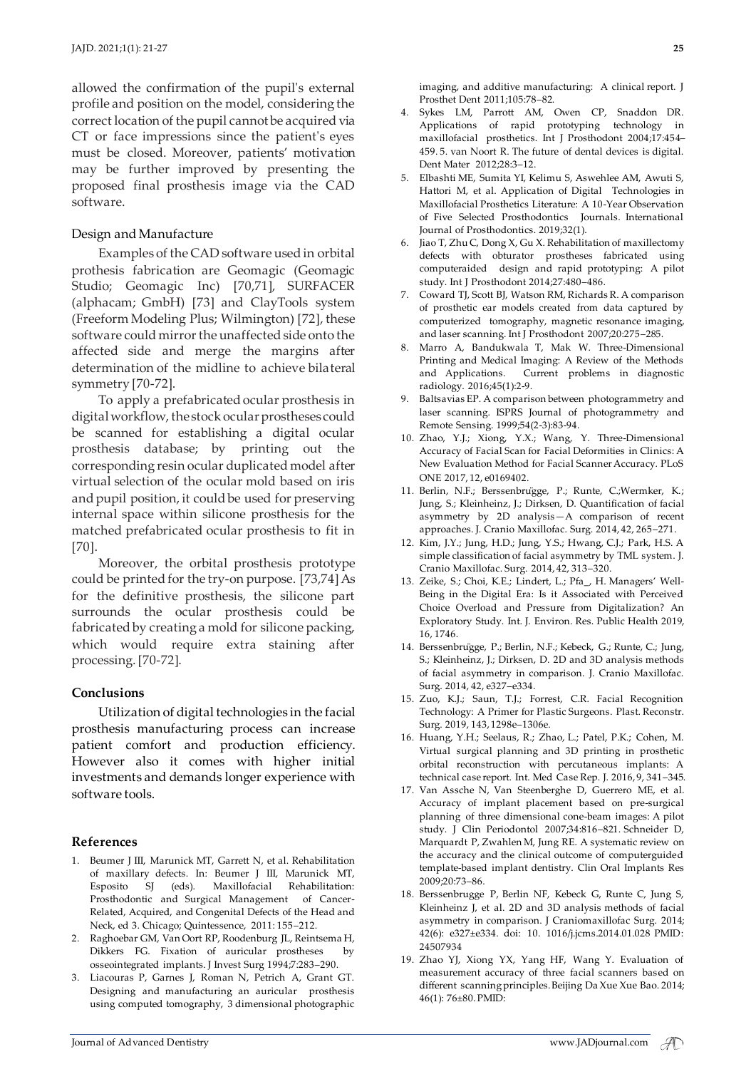allowed the confirmation of the pupil's external profile and position on the model, considering the correct location of the pupil cannot be acquired via CT or face impressions since the patient's eyes must be closed. Moreover, patients' motivation may be further improved by presenting the proposed final prosthesis image via the CAD software.

#### Design and Manufacture

Examples of the CAD software used in orbital prothesis fabrication are Geomagic (Geomagic Studio; Geomagic Inc) [70,71], SURFACER (alphacam; GmbH) [73] and ClayTools system (Freeform Modeling Plus; Wilmington) [72], these software could mirror the unaffected side onto the affected side and merge the margins after determination of the midline to achieve bilateral symmetry [70-72].

To apply a prefabricated ocular prosthesis in digital workflow, the stock ocular prostheses could be scanned for establishing a digital ocular prosthesis database; by printing out the corresponding resin ocular duplicated model after virtual selection of the ocular mold based on iris and pupil position, it could be used for preserving internal space within silicone prosthesis for the matched prefabricated ocular prosthesis to fit in [70].

Moreover, the orbital prosthesis prototype could be printed for the try-on purpose. [73,74]As for the definitive prosthesis, the silicone part surrounds the ocular prosthesis could be fabricated by creating a mold for silicone packing, which would require extra staining after processing. [70-72].

#### **Conclusions**

Utilization of digital technologies in the facial prosthesis manufacturing process can increase patient comfort and production efficiency. However also it comes with higher initial investments and demands longer experience with software tools.

#### **References**

- 1. Beumer J III, Marunick MT, Garrett N, et al. Rehabilitation of maxillary defects. In: Beumer J III, Marunick MT, Esposito SJ (eds). Maxillofacial Rehabilitation: Prosthodontic and Surgical Management of Cancer-Related, Acquired, and Congenital Defects of the Head and Neck, ed 3. Chicago; Quintessence, 2011: 155–212.
- 2. Raghoebar GM, Van Oort RP, Roodenburg JL, Reintsema H, Dikkers FG. Fixation of auricular prostheses by osseointegrated implants. J Invest Surg 1994;7:283–290.
- 3. Liacouras P, Garnes J, Roman N, Petrich A, Grant GT. Designing and manufacturing an auricular prosthesis using computed tomography, 3 dimensional photographic

imaging, and additive manufacturing: A clinical report. J Prosthet Dent 2011;105:78–82.

- 4. Sykes LM, Parrott AM, Owen CP, Snaddon DR. Applications of rapid prototyping technology in maxillofacial prosthetics. Int J Prosthodont 2004;17:454– 459. 5. van Noort R. The future of dental devices is digital. Dent Mater 2012;28:3–12.
- 5. Elbashti ME, Sumita YI, Kelimu S, Aswehlee AM, Awuti S, Hattori M, et al. Application of Digital Technologies in Maxillofacial Prosthetics Literature: A 10-Year Observation of Five Selected Prosthodontics Journals. International Journal of Prosthodontics. 2019;32(1).
- 6. Jiao T, Zhu C, Dong X, Gu X. Rehabilitation of maxillectomy defects with obturator prostheses fabricated using computeraided design and rapid prototyping: A pilot study. Int J Prosthodont 2014;27:480–486.
- 7. Coward TJ, Scott BJ, Watson RM, Richards R. A comparison of prosthetic ear models created from data captured by computerized tomography, magnetic resonance imaging, and laser scanning. Int J Prosthodont 2007;20:275–285.
- 8. Marro A, Bandukwala T, Mak W. Three-Dimensional Printing and Medical Imaging: A Review of the Methods and Applications. Current problems in diagnostic radiology. 2016;45(1):2-9.
- 9. Baltsavias EP. A comparison between photogrammetry and laser scanning. ISPRS Journal of photogrammetry and Remote Sensing. 1999;54(2-3):83-94.
- 10. Zhao, Y.J.; Xiong, Y.X.; Wang, Y. Three-Dimensional Accuracy of Facial Scan for Facial Deformities in Clinics: A New Evaluation Method for Facial Scanner Accuracy. PLoS ONE 2017, 12, e0169402.
- 11. Berlin, N.F.; Berssenbrügge, P.; Runte, C.;Wermker, K.; Jung, S.; Kleinheinz, J.; Dirksen, D. Quantification of facial asymmetry by 2D analysis—A comparison of recent approaches. J. Cranio Maxillofac. Surg. 2014, 42, 265–271.
- 12. Kim, J.Y.; Jung, H.D.; Jung, Y.S.; Hwang, C.J.; Park, H.S. A simple classification of facial asymmetry by TML system. J. Cranio Maxillofac. Surg. 2014, 42, 313–320.
- 13. Zeike, S.; Choi, K.E.; Lindert, L.; Pfa\_, H. Managers' Well-Being in the Digital Era: Is it Associated with Perceived Choice Overload and Pressure from Digitalization? An Exploratory Study. Int. J. Environ. Res. Public Health 2019, 16, 1746.
- 14. Berssenbrügge, P.; Berlin, N.F.; Kebeck, G.; Runte, C.; Jung, S.; Kleinheinz, J.; Dirksen, D. 2D and 3D analysis methods of facial asymmetry in comparison. J. Cranio Maxillofac. Surg. 2014, 42, e327–e334.
- 15. Zuo, K.J.; Saun, T.J.; Forrest, C.R. Facial Recognition Technology: A Primer for Plastic Surgeons. Plast. Reconstr. Surg. 2019, 143, 1298e–1306e.
- 16. Huang, Y.H.; Seelaus, R.; Zhao, L.; Patel, P.K.; Cohen, M. Virtual surgical planning and 3D printing in prosthetic orbital reconstruction with percutaneous implants: A technical case report. Int. Med Case Rep. J. 2016, 9, 341–345.
- 17. Van Assche N, Van Steenberghe D, Guerrero ME, et al. Accuracy of implant placement based on pre-surgical planning of three dimensional cone-beam images: A pilot study. J Clin Periodontol 2007;34:816–821. Schneider D, Marquardt P, Zwahlen M, Jung RE. A systematic review on the accuracy and the clinical outcome of computerguided template-based implant dentistry. Clin Oral Implants Res 2009;20:73–86.
- 18. Berssenbrugge P, Berlin NF, Kebeck G, Runte C, Jung S, Kleinheinz J, et al. 2D and 3D analysis methods of facial asymmetry in comparison. J Craniomaxillofac Surg. 2014; 42(6): e327±e334. doi: 10. 1016/j.jcms.2014.01.028 PMID: 24507934
- 19. Zhao YJ, Xiong YX, Yang HF, Wang Y. Evaluation of measurement accuracy of three facial scanners based on different scanning principles. Beijing Da Xue Xue Bao. 2014; 46(1): 76±80. PMID: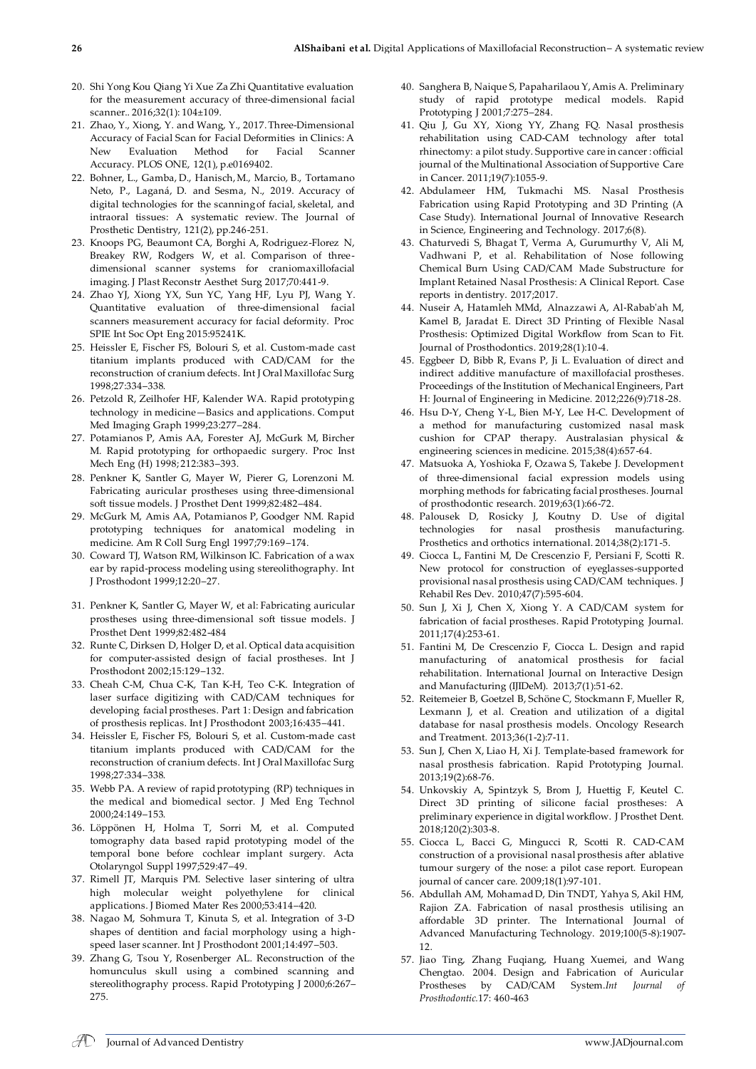- 20. Shi Yong Kou Qiang Yi Xue Za Zhi Quantitative evaluation for the measurement accuracy of three-dimensional facial scanner.. 2016;32(1): 104±109.
- 21. Zhao, Y., Xiong, Y. and Wang, Y., 2017. Three-Dimensional Accuracy of Facial Scan for Facial Deformities in Clinics: A New Evaluation Method for Facial Scanner Accuracy. PLOS ONE, 12(1), p.e0169402.
- 22. Bohner, L., Gamba, D., Hanisch, M., Marcio, B., Tortamano Neto, P., Laganá, D. and Sesma, N., 2019. Accuracy of digital technologies for the scanning of facial, skeletal, and intraoral tissues: A systematic review. The Journal of Prosthetic Dentistry, 121(2), pp.246-251.
- 23. Knoops PG, Beaumont CA, Borghi A, Rodriguez-Florez N, Breakey RW, Rodgers W, et al. Comparison of threedimensional scanner systems for craniomaxillofacial imaging. J Plast Reconstr Aesthet Surg 2017;70:441-9.
- 24. Zhao YJ, Xiong YX, Sun YC, Yang HF, Lyu PJ, Wang Y. Quantitative evaluation of three-dimensional facial scanners measurement accuracy for facial deformity. Proc SPIE Int Soc Opt Eng 2015:95241K.
- 25. Heissler E, Fischer FS, Bolouri S, et al. Custom-made cast titanium implants produced with CAD/CAM for the reconstruction of cranium defects. Int J Oral Maxillofac Surg 1998;27:334–338.
- 26. Petzold R, Zeilhofer HF, Kalender WA. Rapid prototyping technology in medicine—Basics and applications. Comput Med Imaging Graph 1999;23:277–284.
- 27. Potamianos P, Amis AA, Forester AJ, McGurk M, Bircher M. Rapid prototyping for orthopaedic surgery. Proc Inst Mech Eng (H) 1998; 212:383–393.
- 28. Penkner K, Santler G, Mayer W, Pierer G, Lorenzoni M. Fabricating auricular prostheses using three-dimensional soft tissue models. J Prosthet Dent 1999;82:482–484.
- 29. McGurk M, Amis AA, Potamianos P, Goodger NM. Rapid prototyping techniques for anatomical modeling in medicine. Am R Coll Surg Engl 1997;79:169–174.
- 30. Coward TJ, Watson RM, Wilkinson IC. Fabrication of a wax ear by rapid-process modeling using stereolithography. Int J Prosthodont 1999;12:20–27.
- 31. Penkner K, Santler G, Mayer W, et al: Fabricating auricular prostheses using three-dimensional soft tissue models. J Prosthet Dent 1999;82:482-484
- 32. Runte C, Dirksen D, Holger D, et al. Optical data acquisition for computer-assisted design of facial prostheses. Int J Prosthodont 2002;15:129–132.
- 33. Cheah C-M, Chua C-K, Tan K-H, Teo C-K. Integration of laser surface digitizing with CAD/CAM techniques for developing facial prostheses. Part 1: Design and fabrication of prosthesis replicas. Int J Prosthodont 2003;16:435–441.
- 34. Heissler E, Fischer FS, Bolouri S, et al. Custom-made cast titanium implants produced with CAD/CAM for the reconstruction of cranium defects. Int J Oral Maxillofac Surg 1998;27:334–338.
- 35. Webb PA. A review of rapid prototyping (RP) techniques in the medical and biomedical sector. J Med Eng Technol 2000;24:149–153.
- 36. Löppönen H, Holma T, Sorri M, et al. Computed tomography data based rapid prototyping model of the temporal bone before cochlear implant surgery. Acta Otolaryngol Suppl 1997;529:47–49.
- 37. Rimell JT, Marquis PM. Selective laser sintering of ultra high molecular weight polyethylene for clinical applications. J Biomed Mater Res 2000;53:414–420.
- 38. Nagao M, Sohmura T, Kinuta S, et al. Integration of 3-D shapes of dentition and facial morphology using a highspeed laser scanner. Int J Prosthodont 2001;14:497–503.
- 39. Zhang G, Tsou Y, Rosenberger AL. Reconstruction of the homunculus skull using a combined scanning and stereolithography process. Rapid Prototyping J 2000;6:267– 275.
- 40. Sanghera B, Naique S, Papaharilaou Y, Amis A. Preliminary study of rapid prototype medical models. Rapid Prototyping J 2001;7:275–284.
- 41. Qiu J, Gu XY, Xiong YY, Zhang FQ. Nasal prosthesis rehabilitation using CAD-CAM technology after total rhinectomy: a pilot study. Supportive care in cancer : official journal of the Multinational Association of Supportive Care in Cancer. 2011;19(7):1055-9.
- 42. Abdulameer HM, Tukmachi MS. Nasal Prosthesis Fabrication using Rapid Prototyping and 3D Printing (A Case Study). International Journal of Innovative Research in Science, Engineering and Technology. 2017;6(8).
- 43. Chaturvedi S, Bhagat T, Verma A, Gurumurthy V, Ali M, Vadhwani P, et al. Rehabilitation of Nose following Chemical Burn Using CAD/CAM Made Substructure for Implant Retained Nasal Prosthesis: A Clinical Report. Case reports in dentistry. 2017;2017.
- 44. Nuseir A, Hatamleh MMd, Alnazzawi A, Al‐Rabab'ah M, Kamel B, Jaradat E. Direct 3D Printing of Flexible Nasal Prosthesis: Optimized Digital Workflow from Scan to Fit. Journal of Prosthodontics. 2019;28(1):10-4.
- 45. Eggbeer D, Bibb R, Evans P, Ji L. Evaluation of direct and indirect additive manufacture of maxillofacial prostheses. Proceedings of the Institution of Mechanical Engineers, Part H: Journal of Engineering in Medicine. 2012;226(9):718-28.
- 46. Hsu D-Y, Cheng Y-L, Bien M-Y, Lee H-C. Development of a method for manufacturing customized nasal mask cushion for CPAP therapy. Australasian physical & engineering sciences in medicine. 2015;38(4):657-64.
- 47. Matsuoka A, Yoshioka F, Ozawa S, Takebe J. Development of three-dimensional facial expression models using morphing methods for fabricating facial prostheses. Journal of prosthodontic research. 2019;63(1):66-72.
- 48. Palousek D, Rosicky J, Koutny D. Use of digital technologies for nasal prosthesis manufacturing. Prosthetics and orthotics international. 2014;38(2):171-5.
- 49. Ciocca L, Fantini M, De Crescenzio F, Persiani F, Scotti R. New protocol for construction of eyeglasses-supported provisional nasal prosthesis using CAD/CAM techniques. J Rehabil Res Dev. 2010;47(7):595-604.
- 50. Sun J, Xi J, Chen X, Xiong Y. A CAD/CAM system for fabrication of facial prostheses. Rapid Prototyping Journal. 2011;17(4):253-61.
- 51. Fantini M, De Crescenzio F, Ciocca L. Design and rapid manufacturing of anatomical prosthesis for facial rehabilitation. International Journal on Interactive Design and Manufacturing (IJIDeM). 2013;7(1):51-62.
- 52. Reitemeier B, Goetzel B, Schöne C, Stockmann F, Mueller R, Lexmann J, et al. Creation and utilization of a digital database for nasal prosthesis models. Oncology Research and Treatment. 2013;36(1-2):7-11.
- 53. Sun J, Chen X, Liao H, Xi J. Template-based framework for nasal prosthesis fabrication. Rapid Prototyping Journal. 2013;19(2):68-76.
- 54. Unkovskiy A, Spintzyk S, Brom J, Huettig F, Keutel C. Direct 3D printing of silicone facial prostheses: A preliminary experience in digital workflow. J Prosthet Dent. 2018;120(2):303-8.
- 55. Ciocca L, Bacci G, Mingucci R, Scotti R. CAD-CAM construction of a provisional nasal prosthesis after ablative tumour surgery of the nose: a pilot case report. European journal of cancer care. 2009;18(1):97-101.
- 56. Abdullah AM, Mohamad D, Din TNDT, Yahya S, Akil HM, Rajion ZA. Fabrication of nasal prosthesis utilising an affordable 3D printer. The International Journal of Advanced Manufacturing Technology. 2019;100(5-8):1907- 12.
- 57. Jiao Ting, Zhang Fuqiang, Huang Xuemei, and Wang Chengtao. 2004. Design and Fabrication of Auricular Prostheses by CAD/CAM System.*Int Journal of Prosthodontic.*17: 460-463